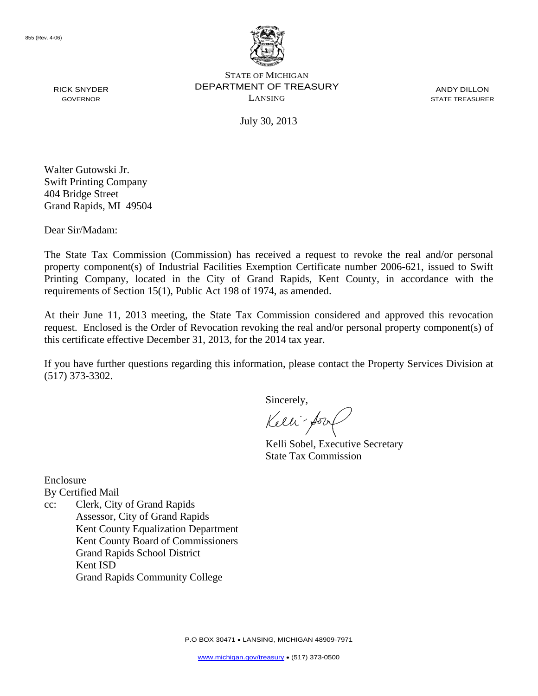

STATE OF MICHIGAN DEPARTMENT OF TREASURY LANSING

ANDY DILLON STATE TREASURER

July 30, 2013

Walter Gutowski Jr. Swift Printing Company 404 Bridge Street Grand Rapids, MI 49504

Dear Sir/Madam:

RICK SNYDER GOVERNOR

The State Tax Commission (Commission) has received a request to revoke the real and/or personal property component(s) of Industrial Facilities Exemption Certificate number 2006-621, issued to Swift Printing Company, located in the City of Grand Rapids, Kent County, in accordance with the requirements of Section 15(1), Public Act 198 of 1974, as amended.

At their June 11, 2013 meeting, the State Tax Commission considered and approved this revocation request. Enclosed is the Order of Revocation revoking the real and/or personal property component(s) of this certificate effective December 31, 2013, for the 2014 tax year.

If you have further questions regarding this information, please contact the Property Services Division at (517) 373-3302.

Sincerely,

Kelli-Sool

Kelli Sobel, Executive Secretary State Tax Commission

Enclosure By Certified Mail

cc: Clerk, City of Grand Rapids Assessor, City of Grand Rapids Kent County Equalization Department Kent County Board of Commissioners Grand Rapids School District Kent ISD Grand Rapids Community College